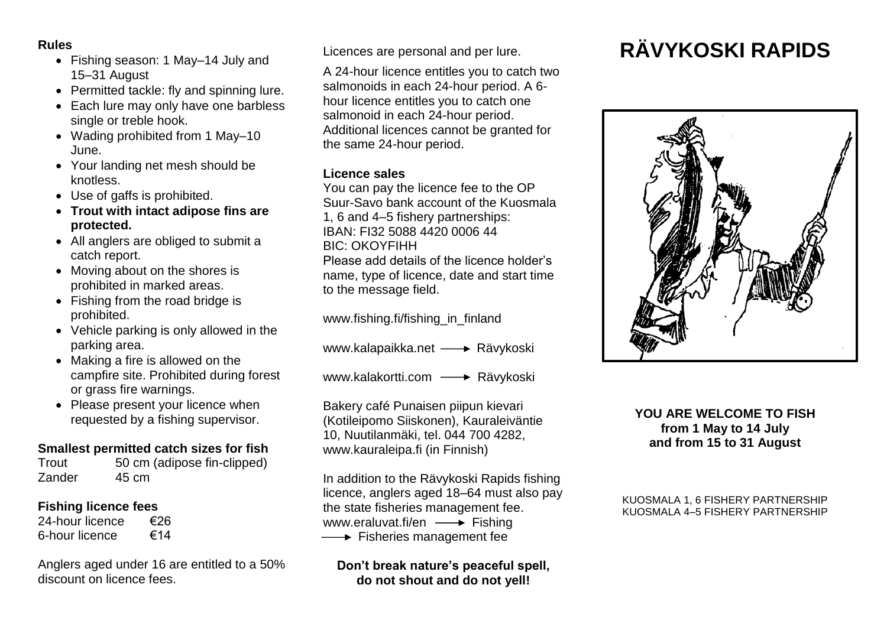#### **Rules**

- Fishing season: 1 May–14 July and 15–31 August
- Permitted tackle: fly and spinning lure.
- Each lure may only have one barbless single or treble hook.
- Wading prohibited from 1 May–10 June.
- Your landing net mesh should be knotless.
- Use of gaffs is prohibited.
- **Trout with intact adipose fins are protected.**
- All anglers are obliged to submit a catch report.
- Moving about on the shores is prohibited in marked areas.
- Fishing from the road bridge is prohibited.
- Vehicle parking is only allowed in the parking area.
- Making a fire is allowed on the campfire site. Prohibited during forest or grass fire warnings.
- Please present your licence when requested by a fishing supervisor.

# **Smallest permitted catch sizes for fish**

| Trout  | 50 cm (adipose fin-clipped) |
|--------|-----------------------------|
| Zander | 45 cm                       |

# **Fishing licence fees**

| 24-hour licence | €26 |
|-----------------|-----|
| 6-hour licence  | €14 |

Anglers aged under 16 are entitled to a 50% discount on licence fees.

Licences are personal and per lure.

A 24-hour licence entitles you to catch two salmonoids in each 24-hour period. A 6 hour licence entitles you to catch one salmonoid in each 24-hour period. Additional licences cannot be granted for the same 24-hour period.

# **Licence sales**

You can pay the licence fee to the OP Suur-Savo bank account of the Kuosmala 1, 6 and 4–5 fishery partnerships: IBAN: FI32 5088 4420 0006 44 BIC: OKOYFIHH

Please add details of the licence holder's name, type of licence, date and start time to the message field.

www.fishing.fi/fishing\_in\_finland

www.kalapaikka.net - Rävykoski

www.kalakortti.com - Rävykoski

Bakery café Punaisen piipun kievari (Kotileipomo Siiskonen), Kauraleiväntie 10, Nuutilanmäki, tel. 044 700 4282, www.kauraleipa.fi (in Finnish)

In addition to the Rävykoski Rapids fishing licence, anglers aged 18–64 must also pay the state fisheries management fee. www.eraluvat.fi/en  $\longrightarrow$  Fishing  $\longrightarrow$  Fisheries management fee

**Don't break nature's peaceful spell, do not shout and do not yell!**

# **RÄVYKOSKI RAPIDS**



#### **YOU ARE WELCOME TO FISH from 1 May to 14 July and from 15 to 31 August**

#### KUOSMALA 1, 6 FISHERY PARTNERSHIP KUOSMALA 4–5 FISHERY PARTNERSHIP